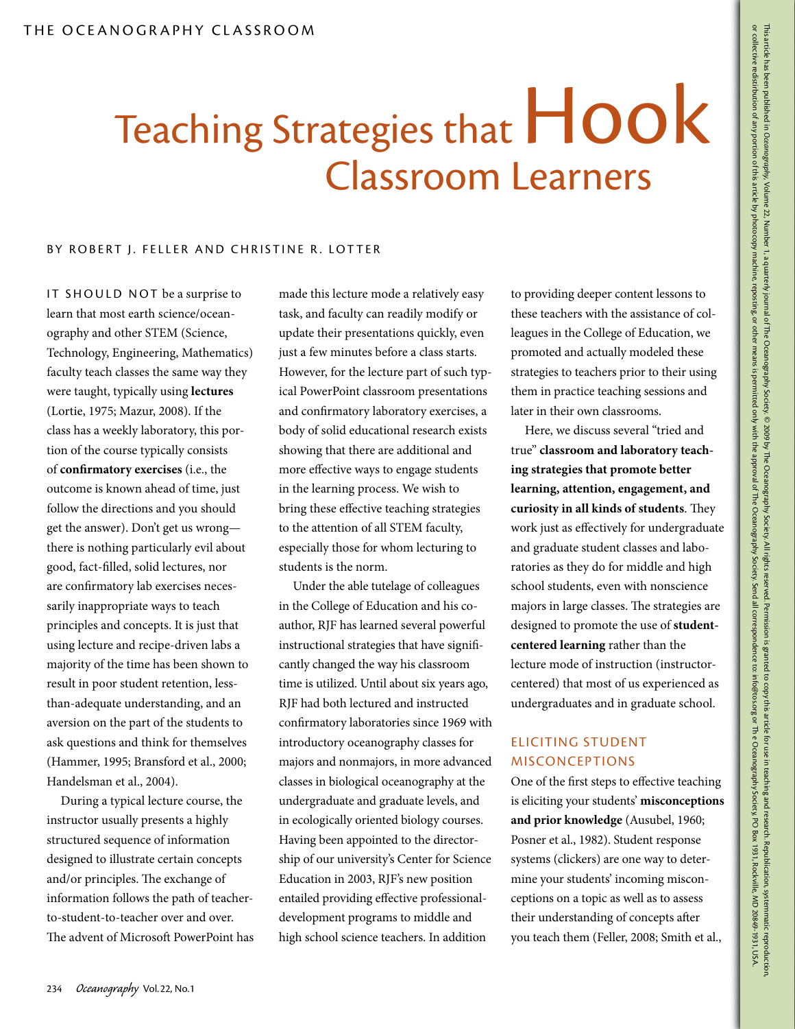# Teaching Strategies that  $Hook$ Classroom Learners

### BY ROBERT J. FELLER AND CHRISTINE R. LOTTER

IT SHOULD NOT be a surprise to learn that most earth science/oceanography and other STEM (Science, Technology, Engineering, Mathematics) faculty teach classes the same way they were taught, typically using **lectures** (Lortie, 1975; Mazur, 2008). If the class has a weekly laboratory, this portion of the course typically consists of **confirmatory exercises** (i.e., the outcome is known ahead of time, just follow the directions and you should get the answer). Don't get us wrong there is nothing particularly evil about good, fact-filled, solid lectures, nor are confirmatory lab exercises necessarily inappropriate ways to teach principles and concepts. It is just that using lecture and recipe-driven labs a majority of the time has been shown to result in poor student retention, lessthan-adequate understanding, and an aversion on the part of the students to ask questions and think for themselves (Hammer, 1995; Bransford et al., 2000; Handelsman et al., 2004).

During a typical lecture course, the instructor usually presents a highly structured sequence of information designed to illustrate certain concepts and/or principles. The exchange of information follows the path of teacherto-student-to-teacher over and over. The advent of Microsoft PowerPoint has made this lecture mode a relatively easy task, and faculty can readily modify or update their presentations quickly, even just a few minutes before a class starts. However, for the lecture part of such typical PowerPoint classroom presentations and confirmatory laboratory exercises, a body of solid educational research exists showing that there are additional and more effective ways to engage students in the learning process. We wish to bring these effective teaching strategies to the attention of all STEM faculty, especially those for whom lecturing to students is the norm.

Under the able tutelage of colleagues in the College of Education and his coauthor, RJF has learned several powerful instructional strategies that have significantly changed the way his classroom time is utilized. Until about six years ago, RJF had both lectured and instructed confirmatory laboratories since 1969 with introductory oceanography classes for majors and nonmajors, in more advanced classes in biological oceanography at the undergraduate and graduate levels, and in ecologically oriented biology courses. Having been appointed to the directorship of our university's Center for Science Education in 2003, RJF's new position entailed providing effective professionaldevelopment programs to middle and high school science teachers. In addition

to providing deeper content lessons to these teachers with the assistance of colleagues in the College of Education, we promoted and actually modeled these strategies to teachers prior to their using them in practice teaching sessions and later in their own classrooms.

Here, we discuss several "tried and true" **classroom and laboratory teaching strategies that promote better learning, attention, engagement, and curiosity in all kinds of students**. They work just as effectively for undergraduate and graduate student classes and laboratories as they do for middle and high school students, even with nonscience majors in large classes. The strategies are designed to promote the use of **studentcentered learning** rather than the lecture mode of instruction (instructorcentered) that most of us experienced as undergraduates and in graduate school.

## Eliciting Student Misconceptions

One of the first steps to effective teaching is eliciting your students' **misconceptions and prior knowledge** (Ausubel, 1960; Posner et al., 1982). Student response systems (clickers) are one way to determine your students' incoming misconceptions on a topic as well as to assess their understanding of concepts after you teach them (Feller, 2008; Smith et al.,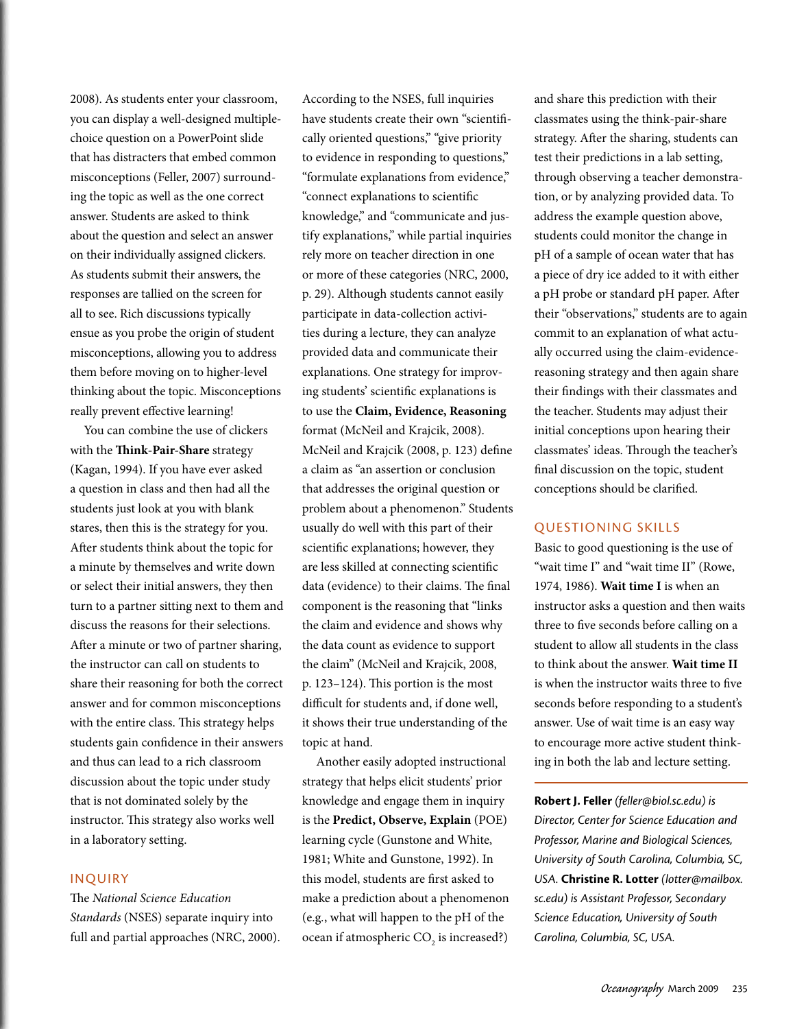2008). As students enter your classroom, you can display a well-designed multiplechoice question on a PowerPoint slide that has distracters that embed common misconceptions (Feller, 2007) surrounding the topic as well as the one correct answer. Students are asked to think about the question and select an answer on their individually assigned clickers. As students submit their answers, the responses are tallied on the screen for all to see. Rich discussions typically ensue as you probe the origin of student misconceptions, allowing you to address them before moving on to higher-level thinking about the topic. Misconceptions really prevent effective learning!

You can combine the use of clickers with the **Think-Pair-Share** strategy (Kagan, 1994). If you have ever asked a question in class and then had all the students just look at you with blank stares, then this is the strategy for you. After students think about the topic for a minute by themselves and write down or select their initial answers, they then turn to a partner sitting next to them and discuss the reasons for their selections. After a minute or two of partner sharing, the instructor can call on students to share their reasoning for both the correct answer and for common misconceptions with the entire class. This strategy helps students gain confidence in their answers and thus can lead to a rich classroom discussion about the topic under study that is not dominated solely by the instructor. This strategy also works well in a laboratory setting.

## Inquiry

The *National Science Education Standards* (NSES) separate inquiry into full and partial approaches (NRC, 2000). According to the NSES, full inquiries have students create their own "scientifically oriented questions," "give priority to evidence in responding to questions," "formulate explanations from evidence," "connect explanations to scientific knowledge," and "communicate and justify explanations," while partial inquiries rely more on teacher direction in one or more of these categories (NRC, 2000, p. 29). Although students cannot easily participate in data-collection activities during a lecture, they can analyze provided data and communicate their explanations. One strategy for improving students' scientific explanations is to use the **Claim, Evidence, Reasoning** format (McNeil and Krajcik, 2008). McNeil and Krajcik (2008, p. 123) define a claim as "an assertion or conclusion that addresses the original question or problem about a phenomenon." Students usually do well with this part of their scientific explanations; however, they are less skilled at connecting scientific data (evidence) to their claims. The final component is the reasoning that "links the claim and evidence and shows why the data count as evidence to support the claim" (McNeil and Krajcik, 2008, p. 123–124). This portion is the most difficult for students and, if done well, it shows their true understanding of the topic at hand.

Another easily adopted instructional strategy that helps elicit students' prior knowledge and engage them in inquiry is the **Predict, Observe, Explain** (POE) learning cycle (Gunstone and White, 1981; White and Gunstone, 1992). In this model, students are first asked to make a prediction about a phenomenon (e.g*.*, what will happen to the pH of the ocean if atmospheric  $\text{CO}_2$  is increased?) and share this prediction with their classmates using the think-pair-share strategy. After the sharing, students can test their predictions in a lab setting, through observing a teacher demonstration, or by analyzing provided data. To address the example question above, students could monitor the change in pH of a sample of ocean water that has a piece of dry ice added to it with either a pH probe or standard pH paper. After their "observations," students are to again commit to an explanation of what actually occurred using the claim-evidencereasoning strategy and then again share their findings with their classmates and the teacher. Students may adjust their initial conceptions upon hearing their classmates' ideas. Through the teacher's final discussion on the topic, student conceptions should be clarified.

## Questioning Skills

Basic to good questioning is the use of "wait time I" and "wait time II" (Rowe, 1974, 1986). **Wait time I** is when an instructor asks a question and then waits three to five seconds before calling on a student to allow all students in the class to think about the answer. **Wait time II** is when the instructor waits three to five seconds before responding to a student's answer. Use of wait time is an easy way to encourage more active student thinking in both the lab and lecture setting.

**Robert J. Feller** *(feller@biol.sc.edu) is Director, Center for Science Education and Professor, Marine and Biological Sciences, University of South Carolina, Columbia, SC, USA.* **Christine R. Lotter** *(lotter@mailbox. sc.edu) is Assistant Professor, Secondary Science Education, University of South Carolina, Columbia, SC, USA.*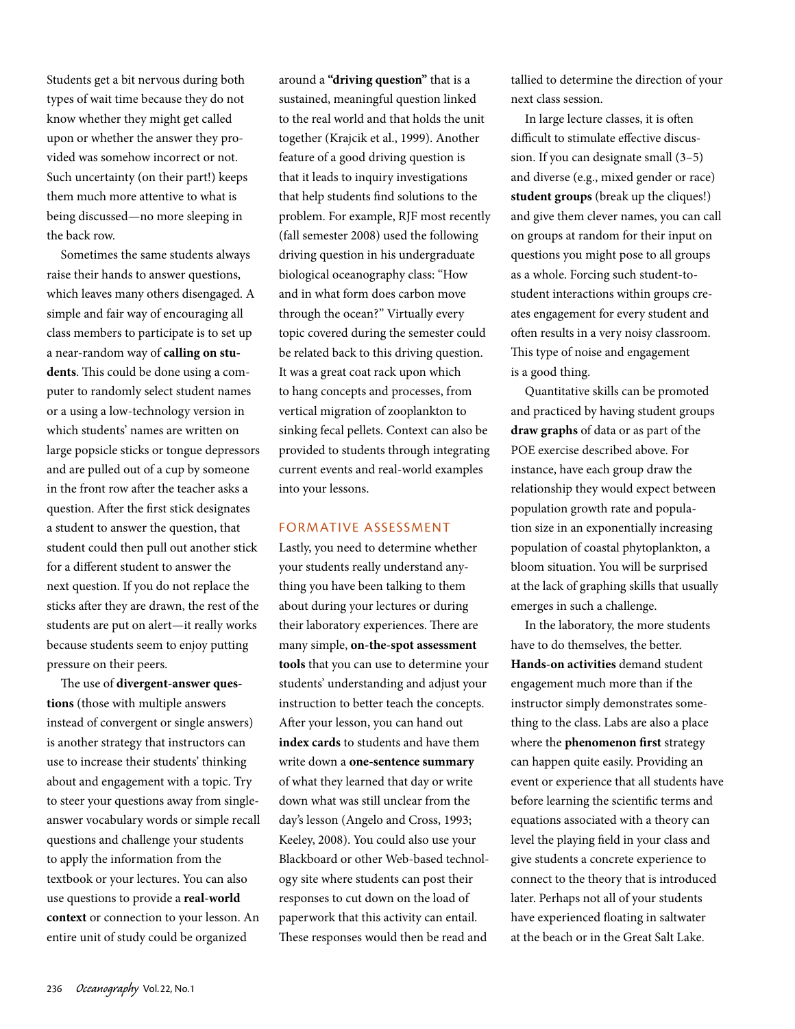Students get a bit nervous during both types of wait time because they do not know whether they might get called upon or whether the answer they provided was somehow incorrect or not. Such uncertainty (on their part!) keeps them much more attentive to what is being discussed—no more sleeping in the back row.

Sometimes the same students always raise their hands to answer questions, which leaves many others disengaged. A simple and fair way of encouraging all class members to participate is to set up a near-random way of **calling on students**. This could be done using a computer to randomly select student names or a using a low-technology version in which students' names are written on large popsicle sticks or tongue depressors and are pulled out of a cup by someone in the front row after the teacher asks a question. After the first stick designates a student to answer the question, that student could then pull out another stick for a different student to answer the next question. If you do not replace the sticks after they are drawn, the rest of the students are put on alert—it really works because students seem to enjoy putting pressure on their peers.

The use of **divergent-answer questions** (those with multiple answers instead of convergent or single answers) is another strategy that instructors can use to increase their students' thinking about and engagement with a topic. Try to steer your questions away from singleanswer vocabulary words or simple recall questions and challenge your students to apply the information from the textbook or your lectures. You can also use questions to provide a **real-world context** or connection to your lesson. An entire unit of study could be organized

around a **"driving question"** that is a sustained, meaningful question linked to the real world and that holds the unit together (Krajcik et al., 1999). Another feature of a good driving question is that it leads to inquiry investigations that help students find solutions to the problem. For example, RJF most recently (fall semester 2008) used the following driving question in his undergraduate biological oceanography class: "How and in what form does carbon move through the ocean?" Virtually every topic covered during the semester could be related back to this driving question. It was a great coat rack upon which to hang concepts and processes, from vertical migration of zooplankton to sinking fecal pellets. Context can also be provided to students through integrating current events and real-world examples into your lessons.

#### Formative Assessment

Lastly, you need to determine whether your students really understand anything you have been talking to them about during your lectures or during their laboratory experiences. There are many simple, **on-the-spot assessment tools** that you can use to determine your students' understanding and adjust your instruction to better teach the concepts. After your lesson, you can hand out **index cards** to students and have them write down a **one-sentence summary** of what they learned that day or write down what was still unclear from the day's lesson (Angelo and Cross, 1993; Keeley, 2008). You could also use your Blackboard or other Web-based technology site where students can post their responses to cut down on the load of paperwork that this activity can entail. These responses would then be read and

tallied to determine the direction of your next class session.

In large lecture classes, it is often difficult to stimulate effective discussion. If you can designate small (3–5) and diverse (e.g., mixed gender or race) **student groups** (break up the cliques!) and give them clever names, you can call on groups at random for their input on questions you might pose to all groups as a whole. Forcing such student-tostudent interactions within groups creates engagement for every student and often results in a very noisy classroom. This type of noise and engagement is a good thing.

Quantitative skills can be promoted and practiced by having student groups **draw graphs** of data or as part of the POE exercise described above. For instance, have each group draw the relationship they would expect between population growth rate and population size in an exponentially increasing population of coastal phytoplankton, a bloom situation. You will be surprised at the lack of graphing skills that usually emerges in such a challenge.

In the laboratory, the more students have to do themselves, the better. **Hands-on activities** demand student engagement much more than if the instructor simply demonstrates something to the class. Labs are also a place where the **phenomenon first** strategy can happen quite easily. Providing an event or experience that all students have before learning the scientific terms and equations associated with a theory can level the playing field in your class and give students a concrete experience to connect to the theory that is introduced later. Perhaps not all of your students have experienced floating in saltwater at the beach or in the Great Salt Lake.